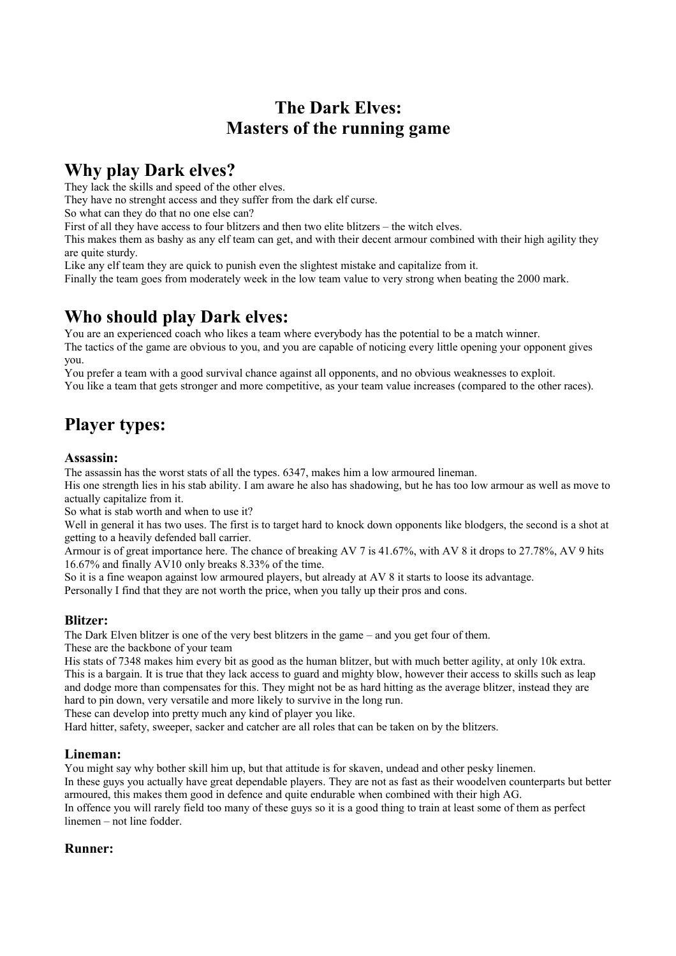# **The Dark Elves: Masters of the running game**

## **Why play Dark elves?**

They lack the skills and speed of the other elves.

They have no strenght access and they suffer from the dark elf curse.

So what can they do that no one else can?

First of all they have access to four blitzers and then two elite blitzers – the witch elves.

This makes them as bashy as any elf team can get, and with their decent armour combined with their high agility they are quite sturdy.

Like any elf team they are quick to punish even the slightest mistake and capitalize from it.

Finally the team goes from moderately week in the low team value to very strong when beating the 2000 mark.

## **Who should play Dark elves:**

You are an experienced coach who likes a team where everybody has the potential to be a match winner. The tactics of the game are obvious to you, and you are capable of noticing every little opening your opponent gives you.

You prefer a team with a good survival chance against all opponents, and no obvious weaknesses to exploit. You like a team that gets stronger and more competitive, as your team value increases (compared to the other races).

# **Player types:**

#### **Assassin:**

The assassin has the worst stats of all the types. 6347, makes him a low armoured lineman.

His one strength lies in his stab ability. I am aware he also has shadowing, but he has too low armour as well as move to actually capitalize from it.

So what is stab worth and when to use it?

Well in general it has two uses. The first is to target hard to knock down opponents like blodgers, the second is a shot at getting to a heavily defended ball carrier.

Armour is of great importance here. The chance of breaking AV 7 is 41.67%, with AV 8 it drops to 27.78%, AV 9 hits 16.67% and finally AV10 only breaks 8.33% of the time.

So it is a fine weapon against low armoured players, but already at AV 8 it starts to loose its advantage. Personally I find that they are not worth the price, when you tally up their pros and cons.

#### **Blitzer:**

The Dark Elven blitzer is one of the very best blitzers in the game – and you get four of them. These are the backbone of your team

His stats of 7348 makes him every bit as good as the human blitzer, but with much better agility, at only 10k extra. This is a bargain. It is true that they lack access to guard and mighty blow, however their access to skills such as leap and dodge more than compensates for this. They might not be as hard hitting as the average blitzer, instead they are hard to pin down, very versatile and more likely to survive in the long run.

These can develop into pretty much any kind of player you like.

Hard hitter, safety, sweeper, sacker and catcher are all roles that can be taken on by the blitzers.

#### **Lineman:**

You might say why bother skill him up, but that attitude is for skaven, undead and other pesky linemen. In these guys you actually have great dependable players. They are not as fast as their woodelven counterparts but better armoured, this makes them good in defence and quite endurable when combined with their high AG. In offence you will rarely field too many of these guys so it is a good thing to train at least some of them as perfect linemen – not line fodder.

#### **Runner:**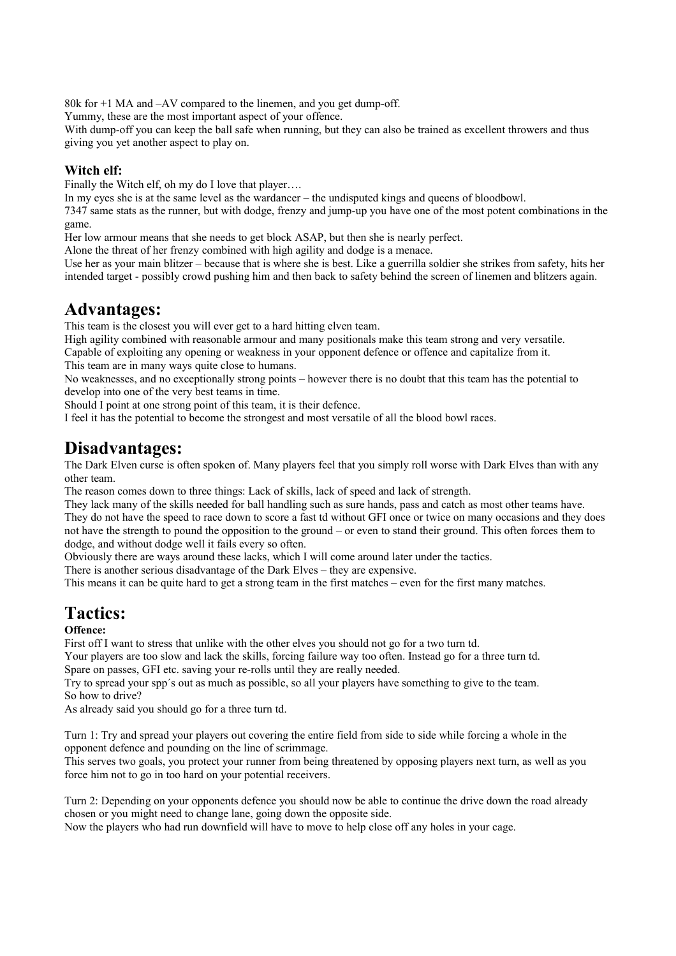80k for +1 MA and –AV compared to the linemen, and you get dump-off.

Yummy, these are the most important aspect of your offence.

With dump-off you can keep the ball safe when running, but they can also be trained as excellent throwers and thus giving you yet another aspect to play on.

#### **Witch elf:**

Finally the Witch elf, oh my do I love that player....

In my eyes she is at the same level as the wardancer – the undisputed kings and queens of bloodbowl.

7347 same stats as the runner, but with dodge, frenzy and jump-up you have one of the most potent combinations in the game.

Her low armour means that she needs to get block ASAP, but then she is nearly perfect.

Alone the threat of her frenzy combined with high agility and dodge is a menace.

Use her as your main blitzer – because that is where she is best. Like a guerrilla soldier she strikes from safety, hits her intended target - possibly crowd pushing him and then back to safety behind the screen of linemen and blitzers again.

## **Advantages:**

This team is the closest you will ever get to a hard hitting elven team.

High agility combined with reasonable armour and many positionals make this team strong and very versatile. Capable of exploiting any opening or weakness in your opponent defence or offence and capitalize from it.

This team are in many ways quite close to humans.

No weaknesses, and no exceptionally strong points – however there is no doubt that this team has the potential to develop into one of the very best teams in time.

Should I point at one strong point of this team, it is their defence.

I feel it has the potential to become the strongest and most versatile of all the blood bowl races.

## **Disadvantages:**

The Dark Elven curse is often spoken of. Many players feel that you simply roll worse with Dark Elves than with any other team.

The reason comes down to three things: Lack of skills, lack of speed and lack of strength.

They lack many of the skills needed for ball handling such as sure hands, pass and catch as most other teams have. They do not have the speed to race down to score a fast td without GFI once or twice on many occasions and they does not have the strength to pound the opposition to the ground – or even to stand their ground. This often forces them to dodge, and without dodge well it fails every so often.

Obviously there are ways around these lacks, which I will come around later under the tactics.

There is another serious disadvantage of the Dark Elves – they are expensive.

This means it can be quite hard to get a strong team in the first matches – even for the first many matches.

# **Tactics:**

#### **Offence:**

First off I want to stress that unlike with the other elves you should not go for a two turn td.

Your players are too slow and lack the skills, forcing failure way too often. Instead go for a three turn td. Spare on passes, GFI etc. saving your re-rolls until they are really needed.

Try to spread your spp´s out as much as possible, so all your players have something to give to the team. So how to drive?

As already said you should go for a three turn td.

Turn 1: Try and spread your players out covering the entire field from side to side while forcing a whole in the opponent defence and pounding on the line of scrimmage.

This serves two goals, you protect your runner from being threatened by opposing players next turn, as well as you force him not to go in too hard on your potential receivers.

Turn 2: Depending on your opponents defence you should now be able to continue the drive down the road already chosen or you might need to change lane, going down the opposite side.

Now the players who had run downfield will have to move to help close off any holes in your cage.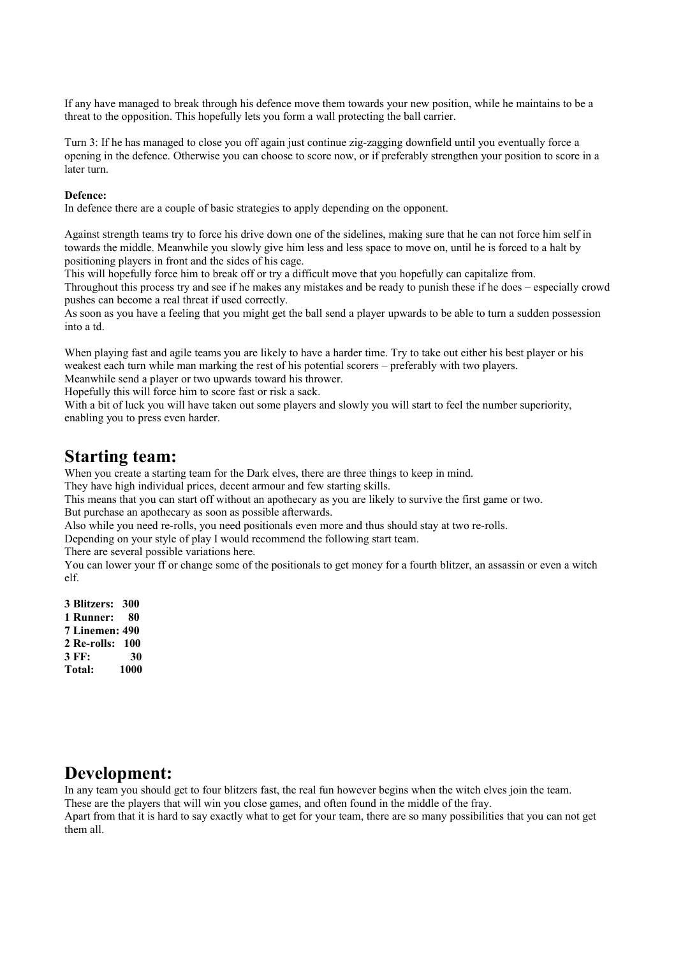If any have managed to break through his defence move them towards your new position, while he maintains to be a threat to the opposition. This hopefully lets you form a wall protecting the ball carrier.

Turn 3: If he has managed to close you off again just continue zig-zagging downfield until you eventually force a opening in the defence. Otherwise you can choose to score now, or if preferably strengthen your position to score in a later turn.

#### **Defence:**

In defence there are a couple of basic strategies to apply depending on the opponent.

Against strength teams try to force his drive down one of the sidelines, making sure that he can not force him self in towards the middle. Meanwhile you slowly give him less and less space to move on, until he is forced to a halt by positioning players in front and the sides of his cage.

This will hopefully force him to break off or try a difficult move that you hopefully can capitalize from. Throughout this process try and see if he makes any mistakes and be ready to punish these if he does – especially crowd pushes can become a real threat if used correctly.

As soon as you have a feeling that you might get the ball send a player upwards to be able to turn a sudden possession into a td.

When playing fast and agile teams you are likely to have a harder time. Try to take out either his best player or his weakest each turn while man marking the rest of his potential scorers – preferably with two players.

Meanwhile send a player or two upwards toward his thrower.

Hopefully this will force him to score fast or risk a sack.

With a bit of luck you will have taken out some players and slowly you will start to feel the number superiority, enabling you to press even harder.

### **Starting team:**

When you create a starting team for the Dark elves, there are three things to keep in mind.

They have high individual prices, decent armour and few starting skills.

This means that you can start off without an apothecary as you are likely to survive the first game or two. But purchase an apothecary as soon as possible afterwards.

Also while you need re-rolls, you need positionals even more and thus should stay at two re-rolls.

Depending on your style of play I would recommend the following start team.

There are several possible variations here.

You can lower your ff or change some of the positionals to get money for a fourth blitzer, an assassin or even a witch elf.

**3 Blitzers: 300 1 Runner: 80 7 Linemen: 490 2 Re-rolls: 100 3 FF: 30 Total: 1000**

### **Development:**

In any team you should get to four blitzers fast, the real fun however begins when the witch elves join the team.

These are the players that will win you close games, and often found in the middle of the fray.

Apart from that it is hard to say exactly what to get for your team, there are so many possibilities that you can not get them all.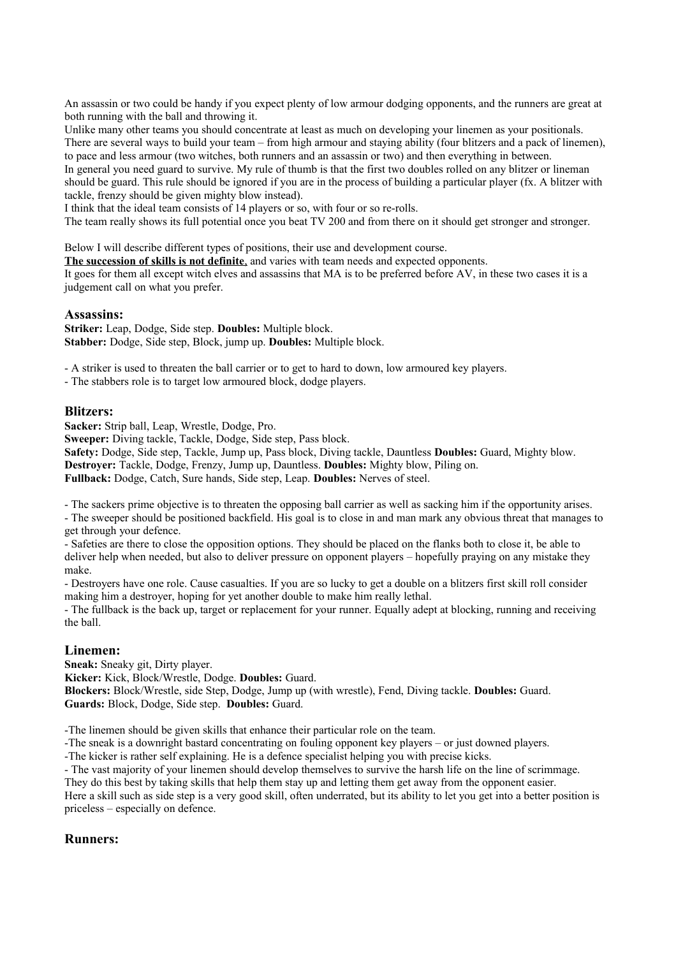An assassin or two could be handy if you expect plenty of low armour dodging opponents, and the runners are great at both running with the ball and throwing it.

Unlike many other teams you should concentrate at least as much on developing your linemen as your positionals. There are several ways to build your team – from high armour and staying ability (four blitzers and a pack of linemen), to pace and less armour (two witches, both runners and an assassin or two) and then everything in between.

In general you need guard to survive. My rule of thumb is that the first two doubles rolled on any blitzer or lineman should be guard. This rule should be ignored if you are in the process of building a particular player (fx. A blitzer with tackle, frenzy should be given mighty blow instead).

I think that the ideal team consists of 14 players or so, with four or so re-rolls.

The team really shows its full potential once you beat TV 200 and from there on it should get stronger and stronger.

Below I will describe different types of positions, their use and development course.

 **The succession of skills is not definite**, and varies with team needs and expected opponents.

It goes for them all except witch elves and assassins that MA is to be preferred before AV, in these two cases it is a judgement call on what you prefer.

#### **Assassins:**

**Striker:** Leap, Dodge, Side step. **Doubles:** Multiple block. **Stabber:** Dodge, Side step, Block, jump up. **Doubles:** Multiple block.

- A striker is used to threaten the ball carrier or to get to hard to down, low armoured key players.

- The stabbers role is to target low armoured block, dodge players.

#### **Blitzers:**

**Sacker:** Strip ball, Leap, Wrestle, Dodge, Pro.

**Sweeper:** Diving tackle, Tackle, Dodge, Side step, Pass block.

**Safety:** Dodge, Side step, Tackle, Jump up, Pass block, Diving tackle, Dauntless **Doubles:** Guard, Mighty blow. **Destroyer:** Tackle, Dodge, Frenzy, Jump up, Dauntless. **Doubles:** Mighty blow, Piling on.

**Fullback:** Dodge, Catch, Sure hands, Side step, Leap. **Doubles:** Nerves of steel.

- The sackers prime objective is to threaten the opposing ball carrier as well as sacking him if the opportunity arises.

- The sweeper should be positioned backfield. His goal is to close in and man mark any obvious threat that manages to get through your defence.

- Safeties are there to close the opposition options. They should be placed on the flanks both to close it, be able to deliver help when needed, but also to deliver pressure on opponent players – hopefully praying on any mistake they make.

- Destroyers have one role. Cause casualties. If you are so lucky to get a double on a blitzers first skill roll consider making him a destroyer, hoping for yet another double to make him really lethal.

- The fullback is the back up, target or replacement for your runner. Equally adept at blocking, running and receiving the ball.

#### **Linemen:**

**Sneak:** Sneaky git, Dirty player.

**Kicker:** Kick, Block/Wrestle, Dodge. **Doubles:** Guard.

**Blockers:** Block/Wrestle, side Step, Dodge, Jump up (with wrestle), Fend, Diving tackle. **Doubles:** Guard. **Guards:** Block, Dodge, Side step. **Doubles:** Guard.

-The linemen should be given skills that enhance their particular role on the team.

-The sneak is a downright bastard concentrating on fouling opponent key players – or just downed players.

-The kicker is rather self explaining. He is a defence specialist helping you with precise kicks.

- The vast majority of your linemen should develop themselves to survive the harsh life on the line of scrimmage.

They do this best by taking skills that help them stay up and letting them get away from the opponent easier. Here a skill such as side step is a very good skill, often underrated, but its ability to let you get into a better position is

### priceless – especially on defence.

#### **Runners:**